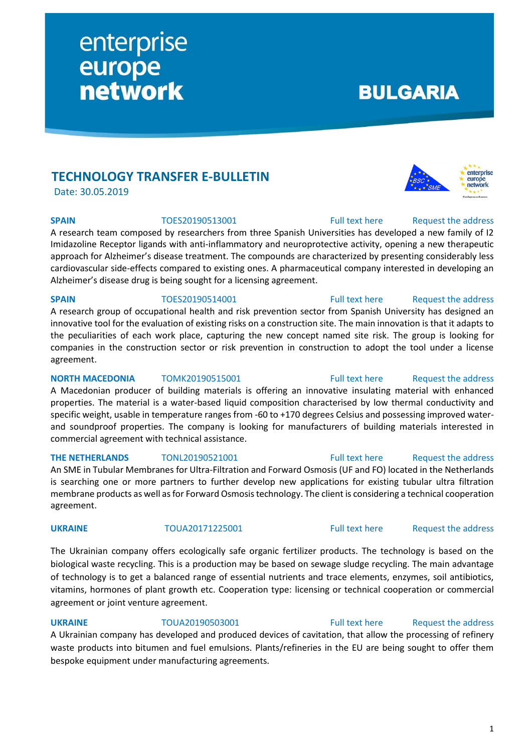# **TECHNOLOGY TRANSFER E-BULLETIN**

enterprise

**network** 

europe

Date: 30.05.2019

# **SPAIN** TOES20190513001 [Full text here](https://een.ec.europa.eu/tools/services/PRO/Profile/Detail/8c34f607-9d3a-4c5b-bc2b-17b92d188b97) Request the address

A research team composed by researchers from three Spanish Universities has developed a new family of I2 Imidazoline Receptor ligands with anti-inflammatory and neuroprotective activity, opening a new therapeutic approach for Alzheimer's disease treatment. The compounds are characterized by presenting considerably less cardiovascular side-effects compared to existing ones. A pharmaceutical company interested in developing an Alzheimer's disease drug is being sought for a licensing agreement.

A research group of occupational health and risk prevention sector from Spanish University has designed an innovative tool for the evaluation of existing risks on a construction site. The main innovation is that it adapts to the peculiarities of each work place, capturing the new concept named site risk. The group is looking for companies in the construction sector or risk prevention in construction to adopt the tool under a license

# **SPAIN** TOES20190514001 [Full text here](https://een.ec.europa.eu/tools/services/PRO/Profile/Detail/bdbade2f-0cc6-4a20-ae47-b8ca2871674a) Request the address

agreement.

# **NORTH MACEDONIA** TOMK20190515001 [Full text here](https://een.ec.europa.eu/tools/services/PRO/Profile/Detail/b038bec4-3711-4ed1-b50f-979b5d7960ef) Request the address

A Macedonian producer of building materials is offering an innovative insulating material with enhanced properties. The material is a water-based liquid composition characterised by low thermal conductivity and specific weight, usable in temperature ranges from -60 to +170 degrees Celsius and possessing improved waterand soundproof properties. The company is looking for manufacturers of building materials interested in commercial agreement with technical assistance.

An SME in Tubular Membranes for Ultra-Filtration and Forward Osmosis (UF and FO) located in the Netherlands is searching one or more partners to further develop new applications for existing tubular ultra filtration membrane products as well as for Forward Osmosis technology. The client is considering a technical cooperation agreement.

The Ukrainian company offers ecologically safe organic fertilizer products. The technology is based on the biological waste recycling. This is a production may be based on sewage sludge recycling. The main advantage of technology is to get a balanced range of essential nutrients and trace elements, enzymes, soil antibiotics, vitamins, hormones of plant growth etc. Cooperation type: licensing or technical cooperation or commercial agreement or joint venture agreement.

**UKRAINE** TOUA20190503001 [Full text here](https://een.ec.europa.eu/tools/services/PRO/Profile/Detail/1c58b370-8545-4de1-9080-c481e350c29c) Request the address A Ukrainian company has developed and produced devices of cavitation, that allow the processing of refinery waste products into bitumen and fuel emulsions. Plants/refineries in the EU are being sought to offer them bespoke equipment under manufacturing agreements.

# **BULGARIA**



# **THE NETHERLANDS** TONL20190521001 [Full text here](https://een.ec.europa.eu/tools/services/PRO/Profile/Detail/2aded12d-de1f-4e59-b594-dad86992122c) Request [the address](http://www.een.bg/index.php?option=com_rsform&formId=13)

# **UKRAINE** TOUA20171225001 [Full text here](https://een.ec.europa.eu/tools/services/PRO/Profile/Detail/8beafe0d-2abb-4f60-9e1b-f80074e5a8e0) Request [the address](http://www.een.bg/index.php?option=com_rsform&formId=13)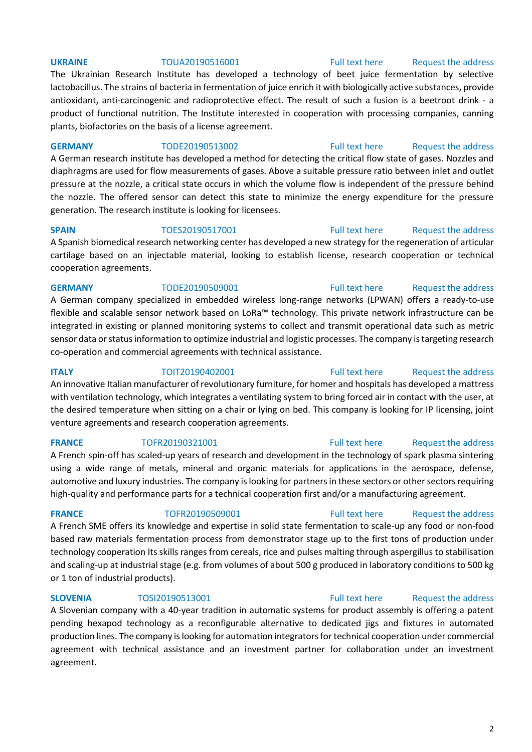The Ukrainian Research Institute has developed a technology of beet juice fermentation by selective lactobacillus. The strains of bacteria in fermentation of juice enrich it with biologically active substances, provide antioxidant, anti-carcinogenic and radioprotective effect. The result of such a fusion is a beetroot drink - a product of functional nutrition. The Institute interested in cooperation with processing companies, canning plants, biofactories on the basis of a license agreement.

### **GERMANY** TODE20190513002 [Full text here](https://een.ec.europa.eu/tools/services/PRO/Profile/Detail/ac640128-ccd6-490e-a2ba-b929c3ab7a56) Request [the address](http://www.een.bg/index.php?option=com_rsform&formId=13)

A German research institute has developed a method for detecting the critical flow state of gases. Nozzles and diaphragms are used for flow measurements of gases. Above a suitable pressure ratio between inlet and outlet pressure at the nozzle, a critical state occurs in which the volume flow is independent of the pressure behind the nozzle. The offered sensor can detect this state to minimize the energy expenditure for the pressure generation. The research institute is looking for licensees.

**SPAIN** TOES20190517001 [Full text here](https://een.ec.europa.eu/tools/services/PRO/Profile/Detail/685bc0f4-db29-4bcc-a56a-b6e127dd4149) Request [the address](http://www.een.bg/index.php?option=com_rsform&formId=13) A Spanish biomedical research networking center has developed a new strategy for the regeneration of articular cartilage based on an injectable material, looking to establish license, research cooperation or technical cooperation agreements.

### **GERMANY** TODE20190509001 [Full text here](https://een.ec.europa.eu/tools/services/PRO/Profile/Detail/1a0a7fe0-c827-4c3e-80b4-a4f8fbb9ecf1) Request the address

A German company specialized in embedded wireless long-range networks (LPWAN) offers a ready-to-use flexible and scalable sensor network based on LoRa™ technology. This private network infrastructure can be integrated in existing or planned monitoring systems to collect and transmit operational data such as metric sensor data or status information to optimize industrial and logistic processes. The company is targeting research co-operation and commercial agreements with technical assistance.

### **ITALY TOIT20190402001** [Full text here](https://een.ec.europa.eu/tools/services/PRO/Profile/Detail/75f61ada-5a64-4363-8579-8015d1e186a5) Request the address

An innovative Italian manufacturer of revolutionary furniture, for homer and hospitals has developed a mattress with ventilation technology, which integrates a ventilating system to bring forced air in contact with the user, at the desired temperature when sitting on a chair or lying on bed. This company is looking for IP licensing, joint venture agreements and research cooperation agreements.

# **FRANCE** TOFR20190321001 [Full text here](https://een.ec.europa.eu/tools/services/PRO/Profile/Detail/010f5312-0d05-4f1b-a43e-ba752aa73ab8) Request the address

A French spin-off has scaled-up years of research and development in the technology of spark plasma sintering using a wide range of metals, mineral and organic materials for applications in the aerospace, defense, automotive and luxury industries. The company is looking for partners in these sectors or other sectors requiring high-quality and performance parts for a technical cooperation first and/or a manufacturing agreement.

A French SME offers its knowledge and expertise in solid state fermentation to scale-up any food or non-food based raw materials fermentation process from demonstrator stage up to the first tons of production under technology cooperation Its skills ranges from cereals, rice and pulses malting through aspergillus to stabilisation and scaling-up at industrial stage (e.g. from volumes of about 500 g produced in laboratory conditions to 500 kg or 1 ton of industrial products).

# **SLOVENIA** TOSI20190513001 **Full text here** Request the address

A Slovenian company with a 40-year tradition in automatic systems for product assembly is offering a patent pending hexapod technology as a reconfigurable alternative to dedicated jigs and fixtures in automated production lines. The company is looking for automation integrators for technical cooperation under commercial agreement with technical assistance and an investment partner for collaboration under an investment agreement.

# **FRANCE** TOFR20190509001 [Full text here](https://een.ec.europa.eu/tools/services/PRO/Profile/Detail/83160b50-c19d-4179-9dda-ed5b22acd7d7) Request [the address](http://www.een.bg/index.php?option=com_rsform&formId=13)

# 2

# **UKRAINE** TOUA20190516001 [Full text here](https://een.ec.europa.eu/tools/services/PRO/Profile/Detail/280d6038-8037-4afb-93d3-3ff6b086aa48) Request the address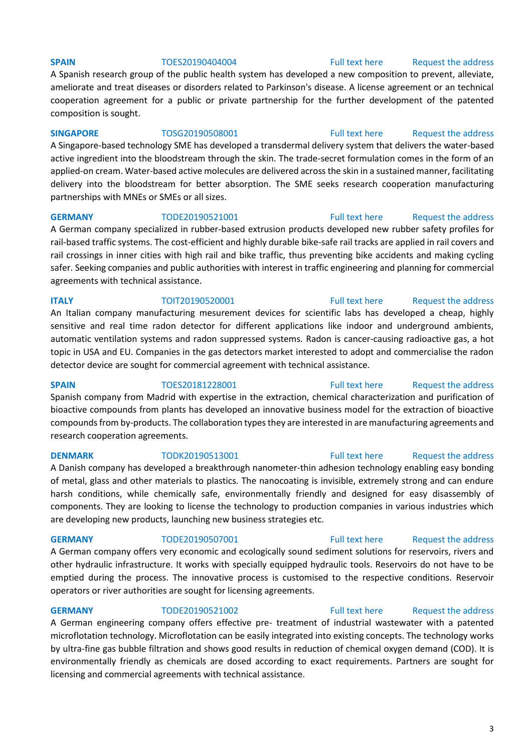### **SPAIN** TOES20190404004 [Full text here](https://een.ec.europa.eu/tools/services/PRO/Profile/Detail/dabb9ea0-56c5-419d-880f-d4f8f15b9ad1) Request the address

A Spanish research group of the public health system has developed a new composition to prevent, alleviate, ameliorate and treat diseases or disorders related to Parkinson's disease. A license agreement or an technical cooperation agreement for a public or private partnership for the further development of the patented composition is sought.

### **SINGAPORE** TOSG20190508001 [Full text here](https://een.ec.europa.eu/tools/services/PRO/Profile/Detail/6e3f59bb-3f39-46e5-a712-6e4a949672a4) Request the address

A Singapore-based technology SME has developed a transdermal delivery system that delivers the water-based active ingredient into the bloodstream through the skin. The trade-secret formulation comes in the form of an applied-on cream. Water-based active molecules are delivered across the skin in a sustained manner, facilitating delivery into the bloodstream for better absorption. The SME seeks research cooperation manufacturing partnerships with MNEs or SMEs or all sizes.

### **GERMANY** TODE20190521001 [Full text here](https://een.ec.europa.eu/tools/services/PRO/Profile/Detail/eba07779-c2f6-4e53-8307-70760b0aeeed) Request the address

A German company specialized in rubber-based extrusion products developed new rubber safety profiles for rail-based traffic systems. The cost-efficient and highly durable bike-safe rail tracks are applied in rail covers and rail crossings in inner cities with high rail and bike traffic, thus preventing bike accidents and making cycling safer. Seeking companies and public authorities with interest in traffic engineering and planning for commercial agreements with technical assistance.

# **ITALY TOIT20190520001** [Full text here](https://een.ec.europa.eu/tools/services/PRO/Profile/Detail/fd636310-694e-456c-8202-e0219af4604a) Request the address

An Italian company manufacturing mesurement devices for scientific labs has developed a cheap, highly sensitive and real time radon detector for different applications like indoor and underground ambients, automatic ventilation systems and radon suppressed systems. Radon is cancer-causing radioactive gas, a hot topic in USA and EU. Companies in the gas detectors market interested to adopt and commercialise the radon detector device are sought for commercial agreement with technical assistance.

**SPAIN** TOES20181228001 [Full text here](https://een.ec.europa.eu/tools/services/PRO/Profile/Detail/1861a4f9-f252-47cd-9835-60d1913905cd) Request the address Spanish company from Madrid with expertise in the extraction, chemical characterization and purification of bioactive compounds from plants has developed an innovative business model for the extraction of bioactive compounds from by-products. The collaboration types they are interested in are manufacturing agreements and research cooperation agreements.

A Danish company has developed a breakthrough nanometer-thin adhesion technology enabling easy bonding of metal, glass and other materials to plastics. The nanocoating is invisible, extremely strong and can endure harsh conditions, while chemically safe, environmentally friendly and designed for easy disassembly of components. They are looking to license the technology to production companies in various industries which are developing new products, launching new business strategies etc.

# **GERMANY** TODE20190507001 [Full text here](https://een.ec.europa.eu/tools/services/PRO/Profile/Detail/4fe27196-c876-4738-b3d4-85d8f3f2d158) Request the address

A German company offers very economic and ecologically sound sediment solutions for reservoirs, rivers and other hydraulic infrastructure. It works with specially equipped hydraulic tools. Reservoirs do not have to be emptied during the process. The innovative process is customised to the respective conditions. Reservoir operators or river authorities are sought for licensing agreements.

# **GERMANY** TODE20190521002 [Full text here](https://een.ec.europa.eu/tools/services/PRO/Profile/Detail/f6e06cd1-c170-4759-8ba9-f987a812b077) Request the address

A German engineering company offers effective pre- treatment of industrial wastewater with a patented microflotation technology. Microflotation can be easily integrated into existing concepts. The technology works by ultra-fine gas bubble filtration and shows good results in reduction of chemical oxygen demand (COD). It is environmentally friendly as chemicals are dosed according to exact requirements. Partners are sought for licensing and commercial agreements with technical assistance.

# **DENMARK** TODK20190513001 [Full text here](https://een.ec.europa.eu/tools/services/PRO/Profile/Detail/53d26ba0-e40c-4674-930a-9667f3b0244f) Request the address

# 3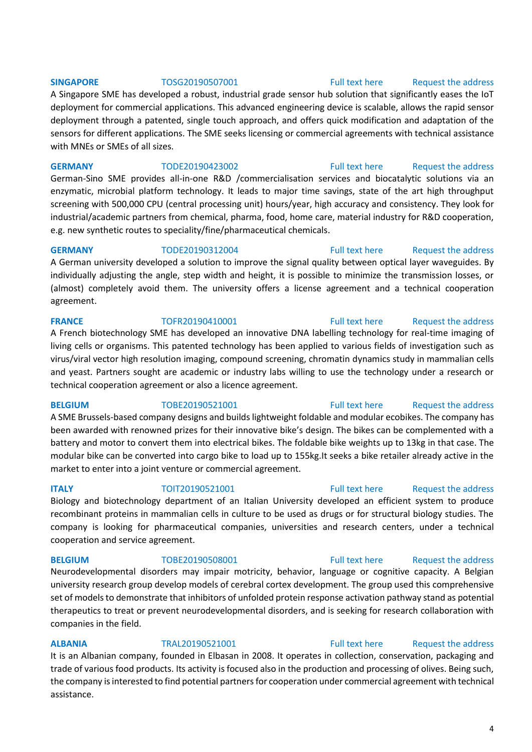### **SINGAPORE** TOSG20190507001 [Full text here](https://een.ec.europa.eu/tools/services/PRO/Profile/Detail/fc4ebfd4-6134-4957-865e-1042b419eac7) Request the address

A Singapore SME has developed a robust, industrial grade sensor hub solution that significantly eases the IoT deployment for commercial applications. This advanced engineering device is scalable, allows the rapid sensor deployment through a patented, single touch approach, and offers quick modification and adaptation of the sensors for different applications. The SME seeks licensing or commercial agreements with technical assistance with MNEs or SMEs of all sizes.

**GERMANY** TODE20190423002 [Full text here](https://een.ec.europa.eu/tools/services/PRO/Profile/Detail/9dca4c93-39ac-4d05-a99f-aa0aba166243) Request the address German-Sino SME provides all-in-one R&D /commercialisation services and biocatalytic solutions via an enzymatic, microbial platform technology. It leads to major time savings, state of the art high throughput screening with 500,000 CPU (central processing unit) hours/year, high accuracy and consistency. They look for industrial/academic partners from chemical, pharma, food, home care, material industry for R&D cooperation, e.g. new synthetic routes to speciality/fine/pharmaceutical chemicals.

**GERMANY** TODE20190312004 [Full text here](https://een.ec.europa.eu/tools/services/PRO/Profile/Detail/dde627be-d58a-4557-b77f-8dfc781aabc6) Request the address A German university developed a solution to improve the signal quality between optical layer waveguides. By individually adjusting the angle, step width and height, it is possible to minimize the transmission losses, or (almost) completely avoid them. The university offers a license agreement and a technical cooperation agreement.

### **FRANCE** TOFR20190410001 [Full text here](https://een.ec.europa.eu/tools/services/PRO/Profile/Detail/71e6d578-4b6c-4bbc-8060-d3ca1d4f92e1) Request the address

# A French biotechnology SME has developed an innovative DNA labelling technology for real-time imaging of living cells or organisms. This patented technology has been applied to various fields of investigation such as virus/viral vector high resolution imaging, compound screening, chromatin dynamics study in mammalian cells and yeast. Partners sought are academic or industry labs willing to use the technology under a research or technical cooperation agreement or also a licence agreement.

# A SME Brussels-based company designs and builds lightweight foldable and modular ecobikes. The company has been awarded with renowned prizes for their innovative bike's design. The bikes can be complemented with a battery and motor to convert them into electrical bikes. The foldable bike weights up to 13kg in that case. The modular bike can be converted into cargo bike to load up to 155kg.It seeks a bike retailer already active in the market to enter into a joint venture or commercial agreement.

# **ITALY TOIT20190521001** [Full text here](https://een.ec.europa.eu/tools/services/PRO/Profile/Detail/6c66e36a-80c0-4b73-95de-4187c7a482a5) Request the address

Biology and biotechnology department of an Italian University developed an efficient system to produce recombinant proteins in mammalian cells in culture to be used as drugs or for structural biology studies. The company is looking for pharmaceutical companies, universities and research centers, under a technical cooperation and service agreement.

Neurodevelopmental disorders may impair motricity, behavior, language or cognitive capacity. A Belgian university research group develop models of cerebral cortex development. The group used this comprehensive set of models to demonstrate that inhibitors of unfolded protein response activation pathway stand as potential therapeutics to treat or prevent neurodevelopmental disorders, and is seeking for research collaboration with companies in the field.

**ALBANIA** TRAL20190521001 [Full text here](https://een.ec.europa.eu/tools/services/PRO/Profile/Detail/cc7c8b11-683f-4014-bed1-5b0fc489b69c) [Request the address](http://www.een.bg/index.php?option=com_rsform&formId=13)  It is an Albanian company, founded in Elbasan in 2008. It operates in collection, conservation, packaging and trade of various food products. Its activity is focused also in the production and processing of olives. Being such, the company is interested to find potential partners for cooperation under commercial agreement with technical assistance.

# **BELGIUM** TOBE20190521001 [Full text here](https://een.ec.europa.eu/tools/services/PRO/Profile/Detail/4b4447d0-9131-4651-9ec3-78c3283a7dd9) Request the address

# **BELGIUM** TOBE20190508001 [Full text here](https://een.ec.europa.eu/tools/services/PRO/Profile/Detail/b89b6f38-2f6a-4e6b-a430-2b52defaa470) Request the address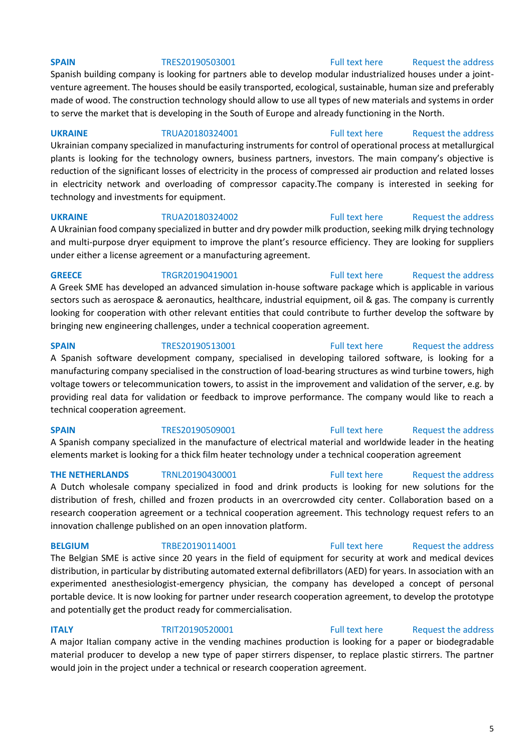Spanish building company is looking for partners able to develop modular industrialized houses under a jointventure agreement. The houses should be easily transported, ecological, sustainable, human size and preferably made of wood. The construction technology should allow to use all types of new materials and systems in order to serve the market that is developing in the South of Europe and already functioning in the North.

**UKRAINE** TRUA20180324001 [Full text here](https://een.ec.europa.eu/tools/services/PRO/Profile/Detail/5f7732e2-21c8-41c4-be15-fab2f098a04e) [Request the address](http://www.een.bg/index.php?option=com_rsform&formId=13)  Ukrainian company specialized in manufacturing instruments for control of operational process at metallurgical plants is looking for the technology owners, business partners, investors. The main company's objective is reduction of the significant losses of electricity in the process of compressed air production and related losses in electricity network and overloading of compressor capacity.The company is interested in seeking for technology and investments for equipment.

**UKRAINE** TRUA20180324002 [Full text here](https://een.ec.europa.eu/tools/services/PRO/Profile/Detail/12c5b8eb-cfa9-4216-b075-dab2a42fdf13) Request the address A Ukrainian food company specialized in butter and dry powder milk production, seeking milk drying technology and multi-purpose dryer equipment to improve the plant's resource efficiency. They are looking for suppliers under either a license agreement or a manufacturing agreement.

### **GREECE** TRGR20190419001 [Full text here](https://een.ec.europa.eu/tools/services/PRO/Profile/Detail/15a1a3b0-725a-4bc1-a82c-0dc1285aecee) Request the address

A Greek SME has developed an advanced simulation in-house software package which is applicable in various sectors such as aerospace & aeronautics, healthcare, industrial equipment, oil & gas. The company is currently looking for cooperation with other relevant entities that could contribute to further develop the software by bringing new engineering challenges, under a technical cooperation agreement.

**SPAIN** TRES20190513001 [Full text here](https://een.ec.europa.eu/tools/services/PRO/Profile/Detail/c436b86c-0d0f-462b-b17f-9de3a91c2963) Request the address A Spanish software development company, specialised in developing tailored software, is looking for a manufacturing company specialised in the construction of load-bearing structures as wind turbine towers, high voltage towers or telecommunication towers, to assist in the improvement and validation of the server, e.g. by providing real data for validation or feedback to improve performance. The company would like to reach a technical cooperation agreement.

**SPAIN** TRES20190509001 [Full text here](https://een.ec.europa.eu/tools/services/PRO/Profile/Detail/9de2b3dc-148a-4730-98df-5a447f2fe635) Request the address A Spanish company specialized in the manufacture of electrical material and worldwide leader in the heating elements market is looking for a thick film heater technology under a technical cooperation agreement

**THE NETHERLANDS** TRNL20190430001 [Full text here](https://een.ec.europa.eu/tools/services/PRO/Profile/Detail/2934149c-a66d-478e-8db2-b6afe6281516) Request the address A Dutch wholesale company specialized in food and drink products is looking for new solutions for the distribution of fresh, chilled and frozen products in an overcrowded city center. Collaboration based on a research cooperation agreement or a technical cooperation agreement. This technology request refers to an innovation challenge published on an open innovation platform.

The Belgian SME is active since 20 years in the field of equipment for security at work and medical devices distribution, in particular by distributing automated external defibrillators (AED) for years. In association with an experimented anesthesiologist-emergency physician, the company has developed a concept of personal portable device. It is now looking for partner under research cooperation agreement, to develop the prototype and potentially get the product ready for commercialisation.

# **ITALY TRIT20190520001** [Full text here](https://een.ec.europa.eu/tools/services/PRO/Profile/Detail/646ddb8e-f833-4ba5-a506-c63d69427f61) Request the address

A major Italian company active in the vending machines production is looking for a paper or biodegradable material producer to develop a new type of paper stirrers dispenser, to replace plastic stirrers. The partner would join in the project under a technical or research cooperation agreement.

### 5

### **SPAIN** TRES20190503001 [Full text here](https://een.ec.europa.eu/tools/services/PRO/Profile/Detail/b931780b-32d8-4791-a5c4-bb093f5defe7) Request the address

# **BELGIUM** TRBE20190114001 [Full text here](https://een.ec.europa.eu/tools/services/PRO/Profile/Detail/89d1aacc-a362-4b00-9e68-11b0054685e6) Request the address